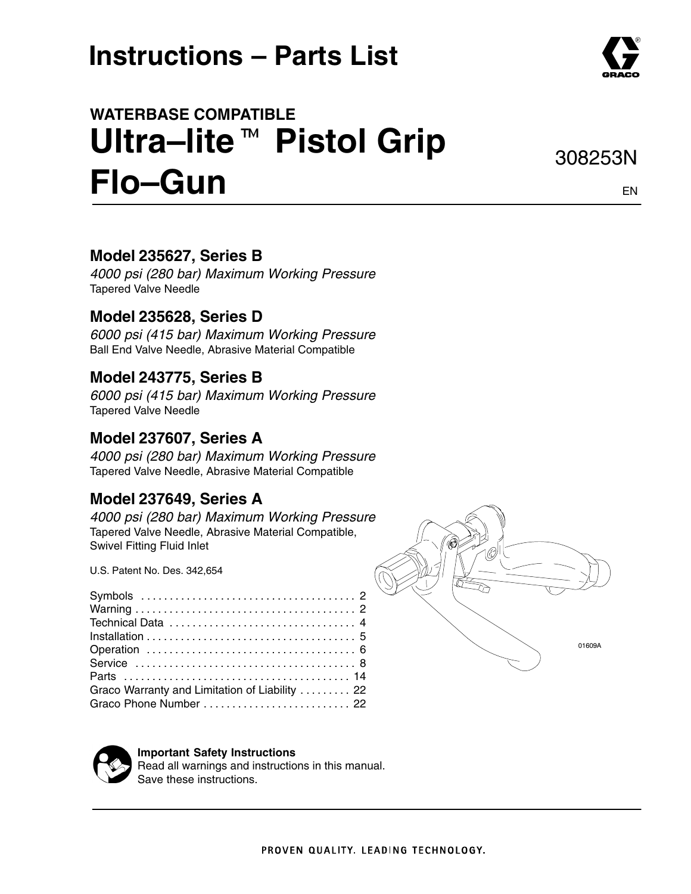# **Instructions – Parts List**

# **WATERBASE COMPATIBLE** waте**ваѕе сомратів**це<br>Ultra—lite ™ Pistol Grip **Flo–Gun**

### **Model 235627, Series B**

*4000 psi (280 bar) Maximum Working Pressure* Tapered Valve Needle

### **Model 235628, Series D**

*6000 psi (415 bar) Maximum Working Pressure* Ball End Valve Needle, Abrasive Material Compatible

### **Model 243775, Series B**

*6000 psi (415 bar) Maximum Working Pressure* Tapered Valve Needle

### **Model 237607, Series A**

*4000 psi (280 bar) Maximum Working Pressure* Tapered Valve Needle, Abrasive Material Compatible

### **Model 237649, Series A**

*4000 psi (280 bar) Maximum Working Pressure* Tapered Valve Needle, Abrasive Material Compatible, Swivel Fitting Fluid Inlet

U.S. Patent No. Des. 342,654

| Graco Warranty and Limitation of Liability  22 |  |
|------------------------------------------------|--|
|                                                |  |





#### **Important Safety Instructions**

Read all warnings and instructions in this manual. Save these instructions.



EN

308253N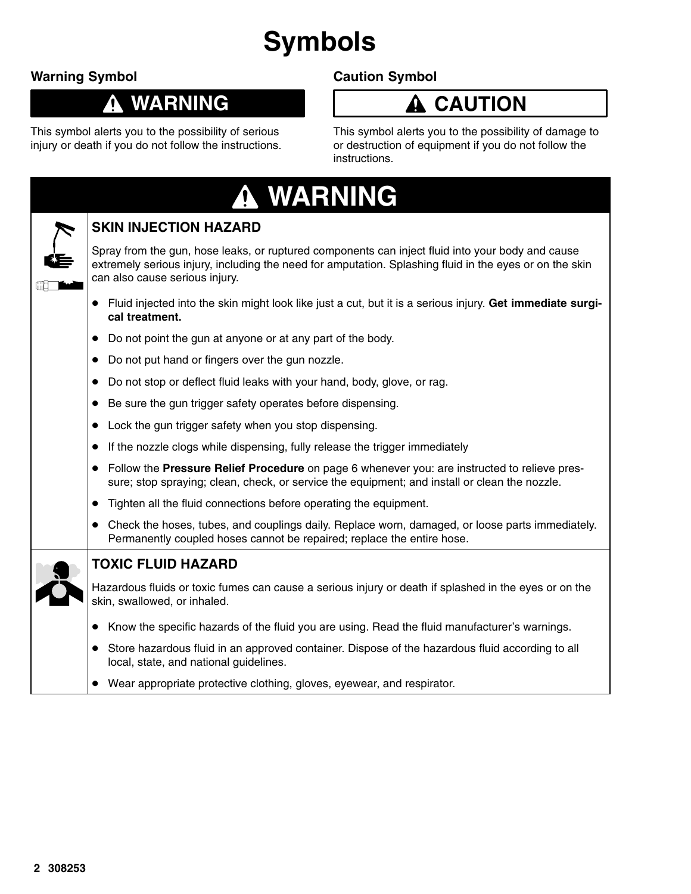# **Symbols**

### **Warning Symbol**

1

## **WARNING**

This symbol alerts you to the possibility of serious injury or death if you do not follow the instructions.

### **Caution Symbol**

## **A** CAUTION

This symbol alerts you to the possibility of damage to or destruction of equipment if you do not follow the instructions.

| <b>A WARNING</b>                                                                                                                                                                                                                              |  |
|-----------------------------------------------------------------------------------------------------------------------------------------------------------------------------------------------------------------------------------------------|--|
| <b>SKIN INJECTION HAZARD</b>                                                                                                                                                                                                                  |  |
| Spray from the gun, hose leaks, or ruptured components can inject fluid into your body and cause<br>extremely serious injury, including the need for amputation. Splashing fluid in the eyes or on the skin<br>can also cause serious injury. |  |
| • Fluid injected into the skin might look like just a cut, but it is a serious injury. Get immediate surgi-<br>cal treatment.                                                                                                                 |  |
| Do not point the gun at anyone or at any part of the body.<br>$\bullet$                                                                                                                                                                       |  |
| Do not put hand or fingers over the gun nozzle.<br>$\bullet$                                                                                                                                                                                  |  |
| Do not stop or deflect fluid leaks with your hand, body, glove, or rag.                                                                                                                                                                       |  |
| Be sure the gun trigger safety operates before dispensing.<br>$\bullet$                                                                                                                                                                       |  |
| Lock the gun trigger safety when you stop dispensing.<br>$\bullet$                                                                                                                                                                            |  |
| If the nozzle clogs while dispensing, fully release the trigger immediately<br>$\bullet$                                                                                                                                                      |  |
| Follow the Pressure Relief Procedure on page 6 whenever you: are instructed to relieve pres-<br>sure; stop spraying; clean, check, or service the equipment; and install or clean the nozzle.                                                 |  |
| Tighten all the fluid connections before operating the equipment.<br>$\bullet$                                                                                                                                                                |  |
| • Check the hoses, tubes, and couplings daily. Replace worn, damaged, or loose parts immediately.<br>Permanently coupled hoses cannot be repaired; replace the entire hose.                                                                   |  |
| <b>TOXIC FLUID HAZARD</b>                                                                                                                                                                                                                     |  |
| Hazardous fluids or toxic fumes can cause a serious injury or death if splashed in the eyes or on the<br>skin, swallowed, or inhaled.                                                                                                         |  |
| • Know the specific hazards of the fluid you are using. Read the fluid manufacturer's warnings.                                                                                                                                               |  |
| Store hazardous fluid in an approved container. Dispose of the hazardous fluid according to all<br>local, state, and national guidelines.                                                                                                     |  |
| Wear appropriate protective clothing, gloves, eyewear, and respirator.                                                                                                                                                                        |  |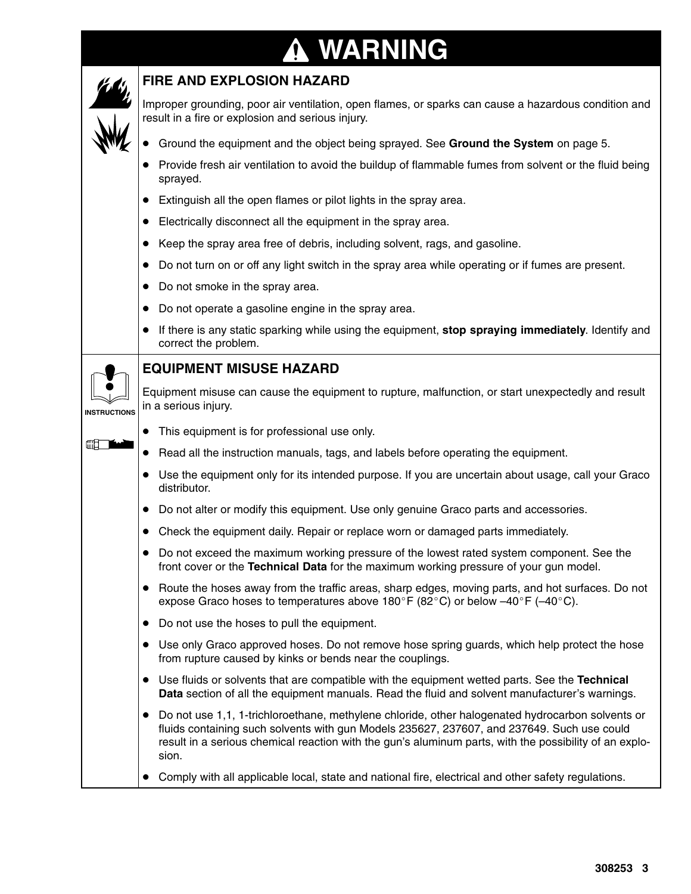# **WARNING**

|                     | <b>FIRE AND EXPLOSION HAZARD</b>                                                                                                                                                                                                                                                                                    |
|---------------------|---------------------------------------------------------------------------------------------------------------------------------------------------------------------------------------------------------------------------------------------------------------------------------------------------------------------|
|                     | Improper grounding, poor air ventilation, open flames, or sparks can cause a hazardous condition and<br>result in a fire or explosion and serious injury.                                                                                                                                                           |
|                     | Ground the equipment and the object being sprayed. See Ground the System on page 5.                                                                                                                                                                                                                                 |
|                     | Provide fresh air ventilation to avoid the buildup of flammable fumes from solvent or the fluid being<br>sprayed.                                                                                                                                                                                                   |
|                     | Extinguish all the open flames or pilot lights in the spray area.                                                                                                                                                                                                                                                   |
|                     | Electrically disconnect all the equipment in the spray area.<br>$\bullet$                                                                                                                                                                                                                                           |
|                     | Keep the spray area free of debris, including solvent, rags, and gasoline.                                                                                                                                                                                                                                          |
|                     | Do not turn on or off any light switch in the spray area while operating or if fumes are present.                                                                                                                                                                                                                   |
|                     | Do not smoke in the spray area.                                                                                                                                                                                                                                                                                     |
|                     | Do not operate a gasoline engine in the spray area.                                                                                                                                                                                                                                                                 |
|                     | If there is any static sparking while using the equipment, stop spraying immediately. Identify and<br>correct the problem.                                                                                                                                                                                          |
|                     | <b>EQUIPMENT MISUSE HAZARD</b>                                                                                                                                                                                                                                                                                      |
| <b>INSTRUCTIONS</b> | Equipment misuse can cause the equipment to rupture, malfunction, or start unexpectedly and result<br>in a serious injury.                                                                                                                                                                                          |
|                     | This equipment is for professional use only.<br>$\bullet$                                                                                                                                                                                                                                                           |
|                     | Read all the instruction manuals, tags, and labels before operating the equipment.<br>$\bullet$                                                                                                                                                                                                                     |
|                     | Use the equipment only for its intended purpose. If you are uncertain about usage, call your Graco<br>distributor.                                                                                                                                                                                                  |
|                     | Do not alter or modify this equipment. Use only genuine Graco parts and accessories.                                                                                                                                                                                                                                |
|                     | Check the equipment daily. Repair or replace worn or damaged parts immediately.                                                                                                                                                                                                                                     |
|                     | Do not exceed the maximum working pressure of the lowest rated system component. See the<br>front cover or the Technical Data for the maximum working pressure of your gun model.                                                                                                                                   |
|                     | Route the hoses away from the traffic areas, sharp edges, moving parts, and hot surfaces. Do not<br>$\bullet$<br>expose Graco hoses to temperatures above 180°F (82°C) or below $-40^{\circ}$ F ( $-40^{\circ}$ C).                                                                                                 |
|                     | Do not use the hoses to pull the equipment.<br>$\bullet$                                                                                                                                                                                                                                                            |
|                     | Use only Graco approved hoses. Do not remove hose spring guards, which help protect the hose<br>from rupture caused by kinks or bends near the couplings.                                                                                                                                                           |
|                     | Use fluids or solvents that are compatible with the equipment wetted parts. See the Technical<br>$\bullet$<br>Data section of all the equipment manuals. Read the fluid and solvent manufacturer's warnings.                                                                                                        |
|                     | • Do not use 1,1, 1-trichloroethane, methylene chloride, other halogenated hydrocarbon solvents or<br>fluids containing such solvents with gun Models 235627, 237607, and 237649. Such use could<br>result in a serious chemical reaction with the gun's aluminum parts, with the possibility of an explo-<br>sion. |
|                     | Comply with all applicable local, state and national fire, electrical and other safety regulations.<br>$\bullet$                                                                                                                                                                                                    |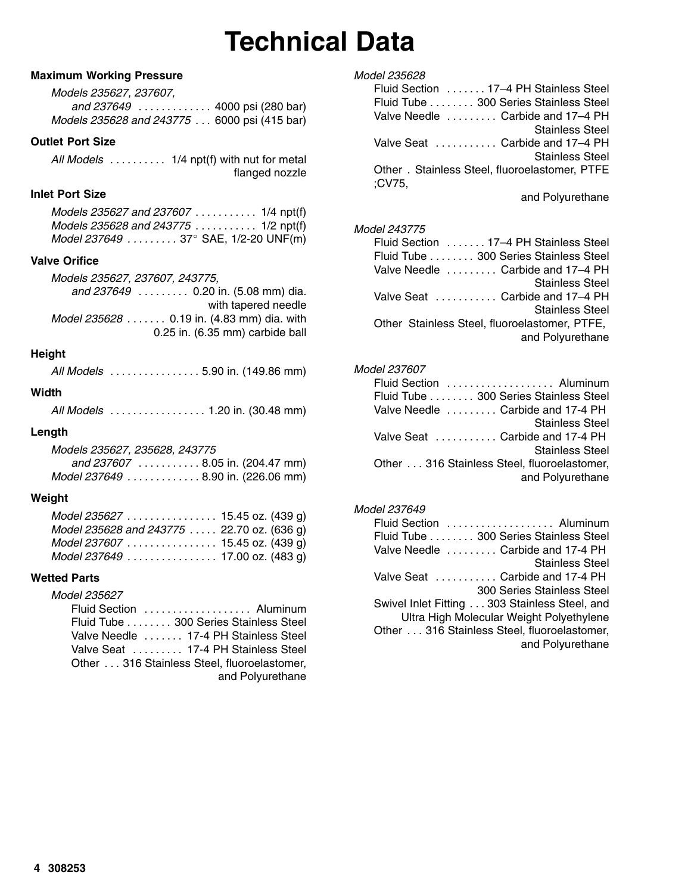# **Technical Data**

#### **Maximum Working Pressure**

*Models 235627, 237607, and 237649* . . . . . . . . . . . . . 4000 psi (280 bar) *Models 235628 and 243775* . . . 6000 psi (415 bar)

#### **Outlet Port Size**

*All Models* . . . . . . . . . . 1/4 npt(f) with nut for metal flanged nozzle

#### **Inlet Port Size**

*Models 235627 and 237607* . . . . . . . . . . . 1/4 npt(f) *Models 235628 and 243775* . . . . . . . . . . . 1/2 npt(f) *Model 237649 . . . . . . . . .* 37 SAE, 1/2-20 UNF(m)

#### **Valve Orifice**

*Models 235627, 237607, 243775, and 237649* . . . . . . . . . 0.20 in. (5.08 mm) dia. with tapered needle *Model 235628* . . . . . . . 0.19 in. (4.83 mm) dia. with 0.25 in. (6.35 mm) carbide ball

#### **Height**

*All Models* . . . . . . . . . . . . . . . . 5.90 in. (149.86 mm)

#### **Width**

*All Models* . . . . . . . . . . . . . . . . . 1.20 in. (30.48 mm)

#### **Length**

*Models 235627, 235628, 243775 and 237607* . . . . . . . . . . . 8.05 in. (204.47 mm) *Model 237649 . . . . . . . . . . . . .* 8.90 in. (226.06 mm)

#### **Weight**

| Model 235627 15.45 oz. (439 g)             |  |  |
|--------------------------------------------|--|--|
| Model 235628 and 243775  22.70 oz. (636 g) |  |  |
| Model 237607  15.45 oz. (439 g)            |  |  |
| Model 237649 17.00 oz. (483 g)             |  |  |

#### **Wetted Parts**

*Model 235627*

| Fluid Section  Aluminum                      |
|----------------------------------------------|
| Fluid Tube 300 Series Stainless Steel        |
| Valve Needle  17-4 PH Stainless Steel        |
| Valve Seat  17-4 PH Stainless Steel          |
| Other  316 Stainless Steel, fluoroelastomer, |
| and Polyurethane                             |

| Fluid Section 17–4 PH Stainless Steel<br>Fluid Tube 300 Series Stainless Steel<br>Valve Needle  Carbide and 17–4 PH<br>Stainless Steel<br>Valve Seat  Carbide and 17–4 PH<br><b>Stainless Steel</b>                                                                                      |
|------------------------------------------------------------------------------------------------------------------------------------------------------------------------------------------------------------------------------------------------------------------------------------------|
| Other . Stainless Steel, fluoroelastomer, PTFE<br>:CV75.                                                                                                                                                                                                                                 |
| and Polyurethane                                                                                                                                                                                                                                                                         |
| <i>Model 243775</i><br>Fluid Section 17-4 PH Stainless Steel<br>Fluid Tube 300 Series Stainless Steel<br>Valve Needle  Carbide and 17-4 PH<br>Stainless Steel<br>Valve Seat  Carbide and 17–4 PH<br>Stainless Steel<br>Other Stainless Steel, fluoroelastomer, PTFE,<br>and Polyurethane |
|                                                                                                                                                                                                                                                                                          |

#### *Model 237607*

*Model 235628*

#### *Model 237649*

| Fluid Section  Aluminum                       |                                          |
|-----------------------------------------------|------------------------------------------|
| Fluid Tube 300 Series Stainless Steel         |                                          |
| Valve Needle  Carbide and 17-4 PH             |                                          |
|                                               | <b>Stainless Steel</b>                   |
| Valve Seat  Carbide and 17-4 PH               |                                          |
|                                               | <b>300 Series Stainless Steel</b>        |
| Swivel Inlet Fitting 303 Stainless Steel, and |                                          |
|                                               | Ultra High Molecular Weight Polyethylene |
| Other 316 Stainless Steel, fluoroelastomer,   |                                          |
|                                               | and Polyurethane                         |
|                                               |                                          |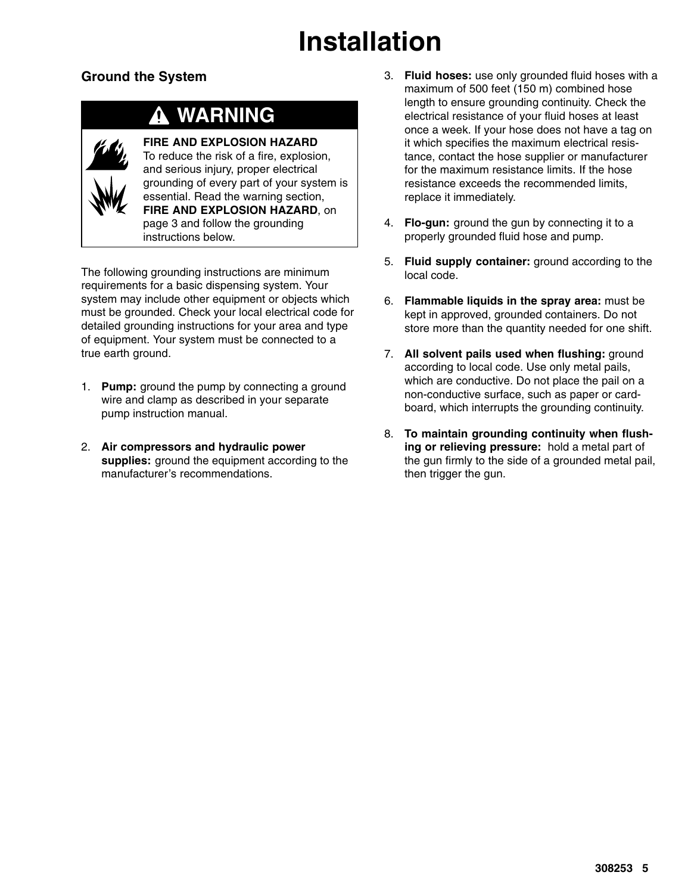# **Installation**

### **Ground the System**

## **WARNING**



**FIRE AND EXPLOSION HAZARD** To reduce the risk of a fire, explosion, and serious injury, proper electrical grounding of every part of your system is essential. Read the warning section, **FIRE AND EXPLOSION HAZARD**, on page 3 and follow the grounding instructions below.

The following grounding instructions are minimum requirements for a basic dispensing system. Your system may include other equipment or objects which must be grounded. Check your local electrical code for detailed grounding instructions for your area and type of equipment. Your system must be connected to a true earth ground.

- 1. **Pump:** ground the pump by connecting a ground wire and clamp as described in your separate pump instruction manual.
- 2. **Air compressors and hydraulic power supplies:** ground the equipment according to the manufacturer's recommendations.
- 3. **Fluid hoses:** use only grounded fluid hoses with a maximum of 500 feet (150 m) combined hose length to ensure grounding continuity. Check the electrical resistance of your fluid hoses at least once a week. If your hose does not have a tag on it which specifies the maximum electrical resistance, contact the hose supplier or manufacturer for the maximum resistance limits. If the hose resistance exceeds the recommended limits, replace it immediately.
- 4. **Flo-gun:** ground the gun by connecting it to a properly grounded fluid hose and pump.
- 5. **Fluid supply container:** ground according to the local code.
- 6. **Flammable liquids in the spray area:** must be kept in approved, grounded containers. Do not store more than the quantity needed for one shift.
- 7. **All solvent pails used when flushing:** ground according to local code. Use only metal pails, which are conductive. Do not place the pail on a non-conductive surface, such as paper or cardboard, which interrupts the grounding continuity.
- 8. **To maintain grounding continuity when flushing or relieving pressure:**hold a metal part of the gun firmly to the side of a grounded metal pail, then trigger the gun.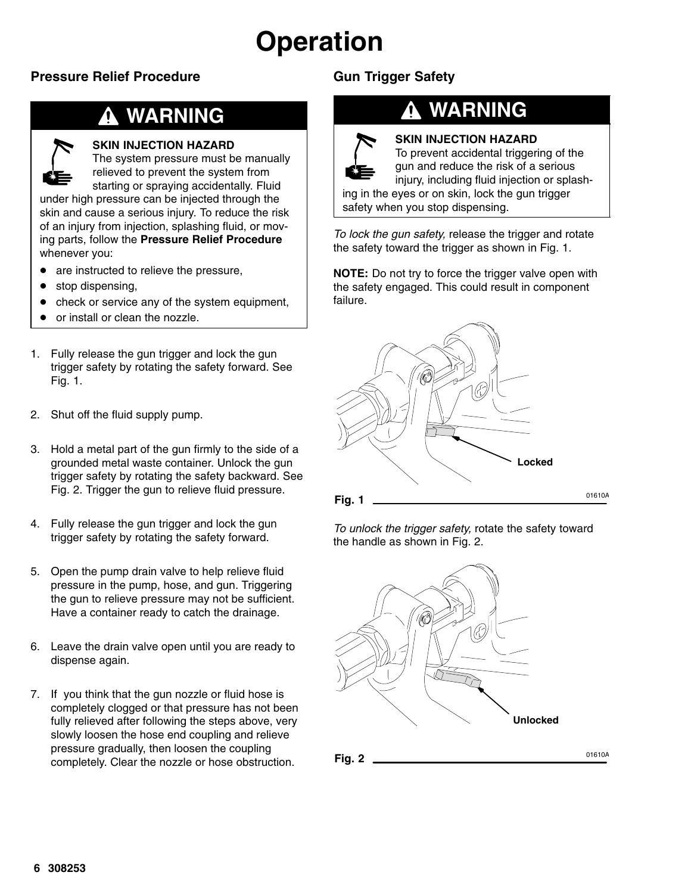# **Operation**

### **Pressure Relief Procedure**

## **WARNING**

#### **SKIN INJECTION HAZARD**

The system pressure must be manually relieved to prevent the system from starting or spraying accidentally. Fluid

under high pressure can be injected through the skin and cause a serious injury. To reduce the risk of an injury from injection, splashing fluid, or moving parts, follow the **Pressure Relief Procedure** whenever you:

- are instructed to relieve the pressure,
- $\bullet$ stop dispensing,
- $\bullet$ check or service any of the system equipment,
- $\bullet$ or install or clean the nozzle.
- 1. Fully release the gun trigger and lock the gun trigger safety by rotating the safety forward. See Fig. 1.
- 2. Shut off the fluid supply pump.
- 3. Hold a metal part of the gun firmly to the side of a grounded metal waste container. Unlock the gun trigger safety by rotating the safety backward. See Fig. 2. Trigger the gun to relieve fluid pressure.
- 4. Fully release the gun trigger and lock the gun trigger safety by rotating the safety forward.
- 5. Open the pump drain valve to help relieve fluid pressure in the pump, hose, and gun. Triggering the gun to relieve pressure may not be sufficient. Have a container ready to catch the drainage.
- 6. Leave the drain valve open until you are ready to dispense again.
- 7. If you think that the gun nozzle or fluid hose is completely clogged or that pressure has not been fully relieved after following the steps above, very slowly loosen the hose end coupling and relieve pressure gradually, then loosen the coupling completely. Clear the nozzle or hose obstruction.

### **Gun Trigger Safety**

## **WARNING**



#### **SKIN INJECTION HAZARD**

To prevent accidental triggering of the gun and reduce the risk of a serious injury, including fluid injection or splash-

ing in the eyes or on skin, lock the gun trigger safety when you stop dispensing.

*To lock the gun safety,* release the trigger and rotate the safety toward the trigger as shown in Fig. 1.

**NOTE:** Do not try to force the trigger valve open with the safety engaged. This could result in component failure.



*To unlock the trigger safety,* rotate the safety toward the handle as shown in Fig. 2.



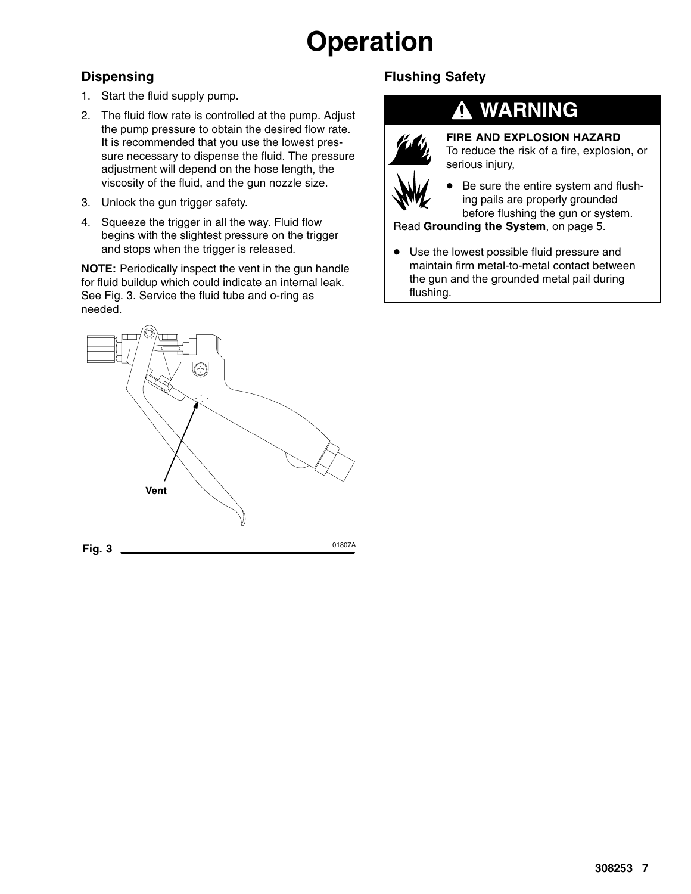# **Operation**

### **Dispensing**

- 1. Start the fluid supply pump.
- 2. The fluid flow rate is controlled at the pump. Adjust the pump pressure to obtain the desired flow rate. It is recommended that you use the lowest pressure necessary to dispense the fluid. The pressure adjustment will depend on the hose length, the viscosity of the fluid, and the gun nozzle size.
- 3. Unlock the gun trigger safety.
- 4. Squeeze the trigger in all the way. Fluid flow begins with the slightest pressure on the trigger and stops when the trigger is released.

**NOTE:** Periodically inspect the vent in the gun handle for fluid buildup which could indicate an internal leak. See Fig. 3. Service the fluid tube and o-ring as needed.



### **Flushing Safety**



## **WARNING**

**FIRE AND EXPLOSION HAZARD** To reduce the risk of a fire, explosion, or serious injury,



Read **Grounding the System**, on page 5.

• Use the lowest possible fluid pressure and maintain firm metal-to-metal contact between the gun and the grounded metal pail during flushing.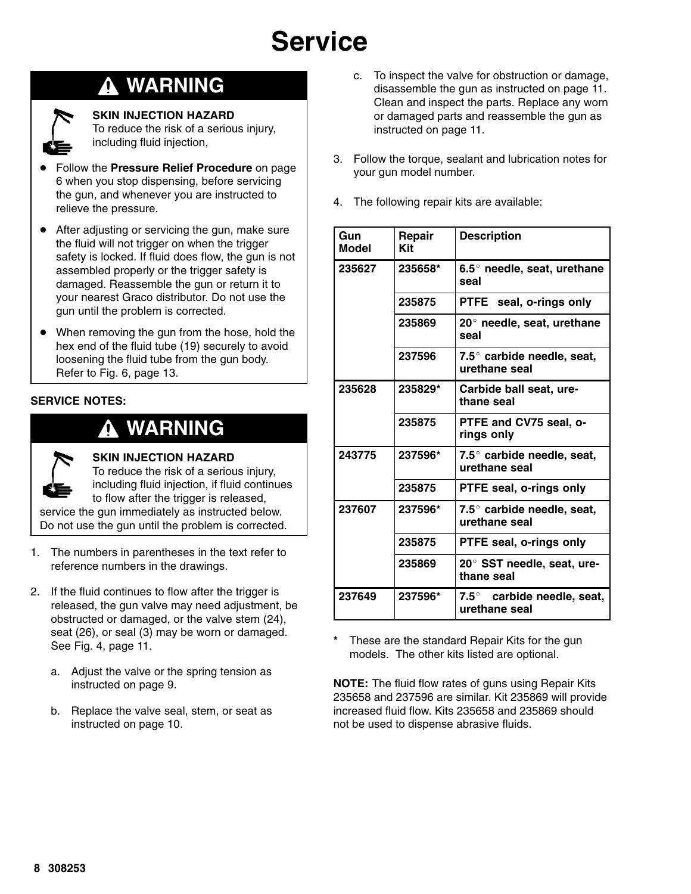## **WARNING**



**SKIN INJECTION HAZARD**

To reduce the risk of a serious injury, including fluid injection,

- $\bullet$  Follow the **Pressure Relief Procedure** on page 6 when you stop dispensing, before servicing the gun, and whenever you are instructed to relieve the pressure.
- After adjusting or servicing the gun, make sure the fluid will not trigger on when the trigger safety is locked. If fluid does flow, the gun is not assembled properly or the trigger safety is damaged. Reassemble the gun or return it to your nearest Graco distributor. Do not use the gun until the problem is corrected.
- When removing the gun from the hose, hold the hex end of the fluid tube (19) securely to avoid loosening the fluid tube from the gun body. Refer to Fig. 6, page 13.

#### **SERVICE NOTES:**

## **WARNING**



**SKIN INJECTION HAZARD**

To reduce the risk of a serious injury, including fluid injection, if fluid continues to flow after the trigger is released, service the gun immediately as instructed below. Do not use the gun until the problem is corrected.

- 1. The numbers in parentheses in the text refer to reference numbers in the drawings.
- 2. If the fluid continues to flow after the trigger is released, the gun valve may need adjustment, be obstructed or damaged, or the valve stem (24), seat (26), or seal (3) may be worn or damaged. See Fig. 4, page 11.
	- a. Adjust the valve or the spring tension as instructed on page 9.
	- b. Replace the valve seal, stem, or seat as instructed on page 10.
- c. To inspect the valve for obstruction or damage, disassemble the gun as instructed on page 11. Clean and inspect the parts. Replace any worn or damaged parts and reassemble the gun as instructed on page 11.
- 3. Follow the torque, sealant and lubrication notes for your gun model number.
- 4. The following repair kits are available:

| Gun<br>Model | Repair<br>Kit | <b>Description</b>                                   |
|--------------|---------------|------------------------------------------------------|
| 235627       | 235658*       | 6.5 $\degree$ needle, seat, urethane<br>seal         |
|              | 235875        | PTFE seal, o-rings only                              |
|              | 235869        | $20^\circ$ needle, seat, urethane<br>seal            |
|              | 237596        | $7.5^\circ$ carbide needle, seat,<br>urethane seal   |
| 235628       | 235829*       | Carbide ball seat, ure-<br>thane seal                |
|              | 235875        | PTFE and CV75 seal, o-<br>rings only                 |
| 243775       | 237596*       | 7.5° carbide needle, seat,<br>urethane seal          |
|              | 235875        | PTFE seal, o-rings only                              |
| 237607       | 237596*       | $7.5^{\circ}$ carbide needle, seat,<br>urethane seal |
|              | 235875        | PTFE seal, o-rings only                              |
|              | 235869        | 20° SST needle, seat, ure-<br>thane seal             |
| 237649       | 237596*       | $7.5^\circ$ carbide needle, seat,<br>urethane seal   |

These are the standard Repair Kits for the gun models. The other kits listed are optional.

**NOTE:** The fluid flow rates of guns using Repair Kits 235658 and 237596 are similar. Kit 235869 will provide increased fluid flow. Kits 235658 and 235869 should not be used to dispense abrasive fluids.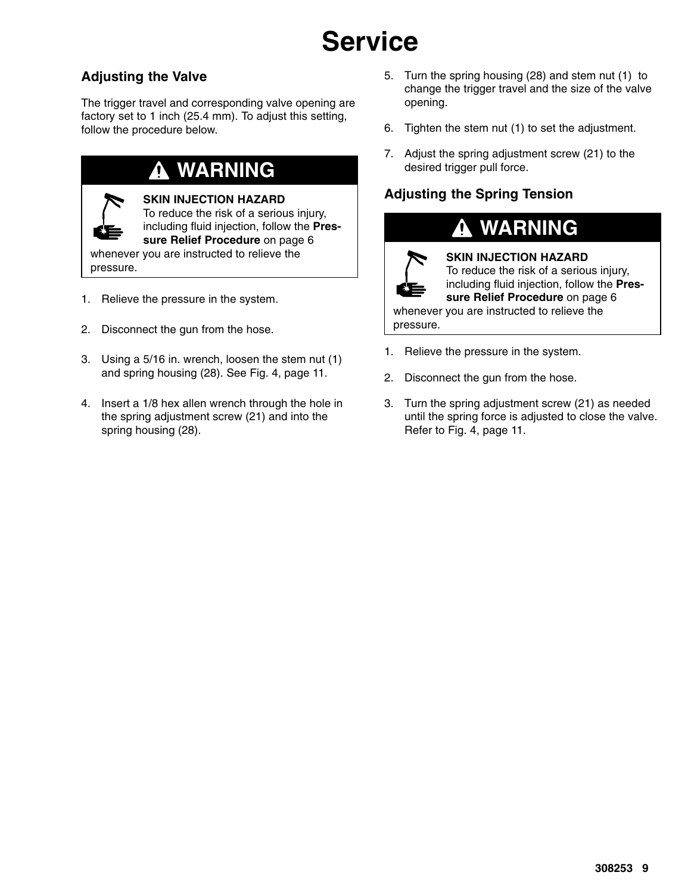### **Adjusting the Valve**

The trigger travel and corresponding valve opening are factory set to 1 inch (25.4 mm). To adjust this setting, follow the procedure below.

## **WARNING**



#### **SKIN INJECTION HAZARD**

To reduce the risk of a serious injury, including fluid injection, follow the **Pressure Relief Procedure** on page 6

whenever you are instructed to relieve the pressure.

- 1. Relieve the pressure in the system.
- 2. Disconnect the gun from the hose.
- 3. Using a 5/16 in. wrench, loosen the stem nut (1) and spring housing (28). See Fig. 4, page 11.
- 4. Insert a 1/8 hex allen wrench through the hole in the spring adjustment screw (21) and into the spring housing (28).
- 5. Turn the spring housing (28) and stem nut (1) to change the trigger travel and the size of the valve opening.
- 6. Tighten the stem nut (1) to set the adjustment.
- 7. Adjust the spring adjustment screw (21) to the desired trigger pull force.

### **Adjusting the Spring Tension**

## **WARNING**



#### **SKIN INJECTION HAZARD**

To reduce the risk of a serious injury, including fluid injection, follow the **Pres-**

**sure Relief Procedure** on page 6 whenever you are instructed to relieve the pressure.

- 1. Relieve the pressure in the system.
- 2. Disconnect the gun from the hose.
- 3. Turn the spring adjustment screw (21) as needed until the spring force is adjusted to close the valve. Refer to Fig. 4, page 11.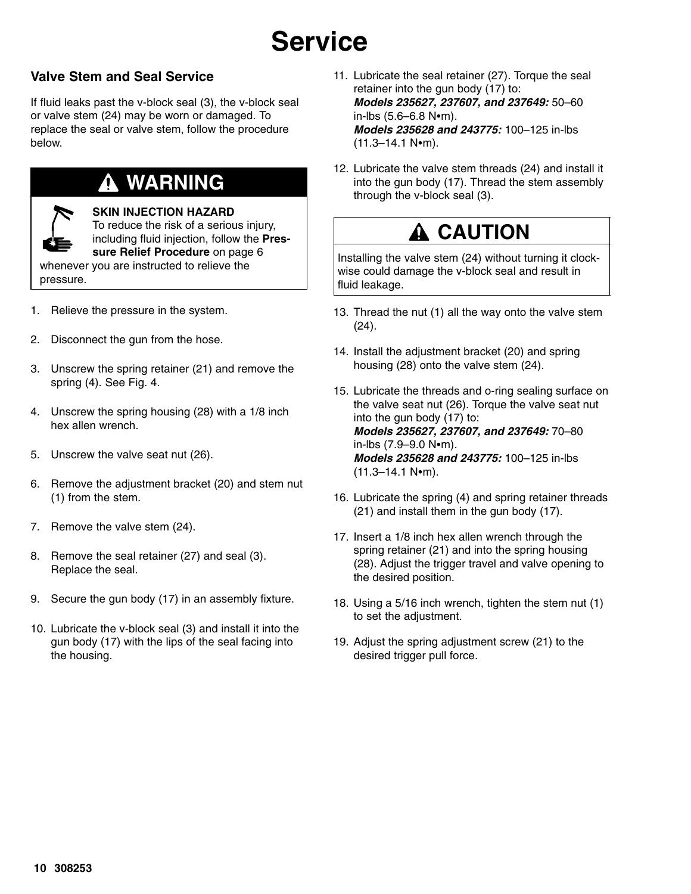### **Valve Stem and Seal Service**

If fluid leaks past the v-block seal (3), the v-block seal or valve stem (24) may be worn or damaged. To replace the seal or valve stem, follow the procedure below.

## **WARNING**

**SKIN INJECTION HAZARD**

To reduce the risk of a serious injury, including fluid injection, follow the **Pressure Relief Procedure** on page 6 whenever you are instructed to relieve the

- pressure.
- 1. Relieve the pressure in the system.
- 2. Disconnect the gun from the hose.
- 3. Unscrew the spring retainer (21) and remove the spring (4). See Fig. 4.
- 4. Unscrew the spring housing (28) with a 1/8 inch hex allen wrench.
- 5. Unscrew the valve seat nut (26).
- 6. Remove the adjustment bracket (20) and stem nut (1) from the stem.
- 7. Remove the valve stem (24).
- 8. Remove the seal retainer (27) and seal (3). Replace the seal.
- 9. Secure the gun body (17) in an assembly fixture.
- 10. Lubricate the v-block seal (3) and install it into the gun body (17) with the lips of the seal facing into the housing.
- 11. Lubricate the seal retainer (27). Torque the seal retainer into the gun body (17) to: *Models 235627, 237607, and 237649:* 50–60  $in$ -lbs (5.6–6.8 N•m). *Models 235628 and 243775:* 100–125 in-lbs  $(11.3-14.1 N·m)$ .
- 12. Lubricate the valve stem threads (24) and install it into the gun body (17). Thread the stem assembly through the v-block seal (3).

## **A** CAUTION

Installing the valve stem (24) without turning it clockwise could damage the v-block seal and result in fluid leakage.

- 13. Thread the nut (1) all the way onto the valve stem (24).
- 14. Install the adjustment bracket (20) and spring housing (28) onto the valve stem (24).
- 15. Lubricate the threads and o-ring sealing surface on the valve seat nut (26). Torque the valve seat nut into the gun body (17) to: *Models 235627, 237607, and 237649:* 70–80  $in$ -lbs  $(7.9 - 9.0 N$ -m). *Models 235628 and 243775:* 100–125 in-lbs  $(11.3-14.1 N·m)$ .
- 16. Lubricate the spring (4) and spring retainer threads (21) and install them in the gun body (17).
- 17. Insert a 1/8 inch hex allen wrench through the spring retainer (21) and into the spring housing (28). Adjust the trigger travel and valve opening to the desired position.
- 18. Using a 5/16 inch wrench, tighten the stem nut (1) to set the adjustment.
- 19. Adjust the spring adjustment screw (21) to the desired trigger pull force.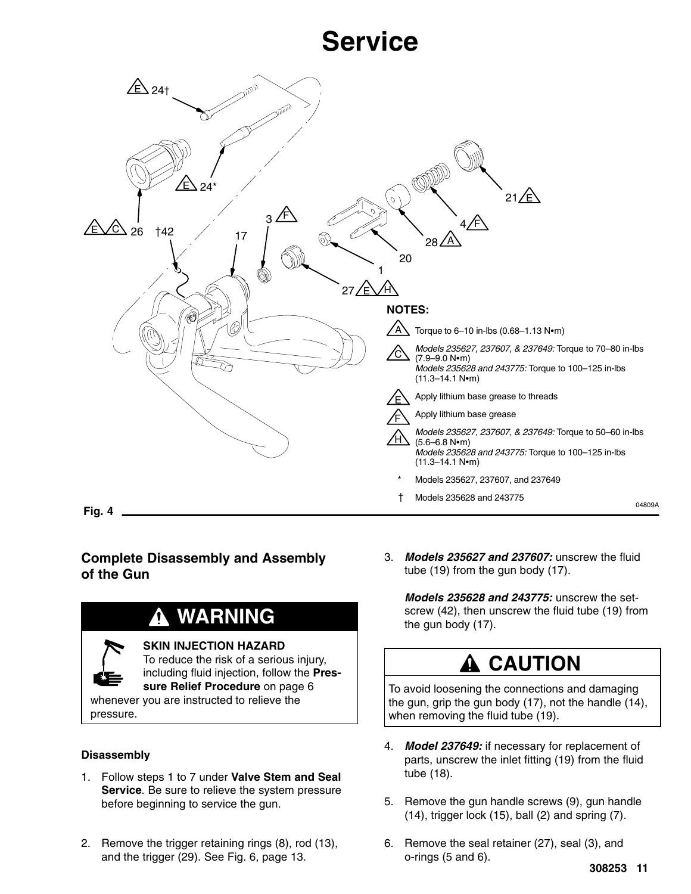

#### **Complete Disassembly and Assembly of the Gun**

## **WARNING**

#### **SKIN INJECTION HAZARD**

To reduce the risk of a serious injury, including fluid injection, follow the **Pressure Relief Procedure** on page 6 whenever you are instructed to relieve the

pressure.

#### **Disassembly**

- 1. Follow steps 1 to 7 under **Valve Stem and Seal Service**. Be sure to relieve the system pressure before beginning to service the gun.
- 2. Remove the trigger retaining rings (8), rod (13), and the trigger (29). See Fig. 6, page 13.

3. *Models 235627 and 237607:* unscrew the fluid tube (19) from the gun body (17).

*Models 235628 and 243775:* unscrew the setscrew (42), then unscrew the fluid tube (19) from the gun body (17).

## **A CAUTION**

To avoid loosening the connections and damaging the gun, grip the gun body (17), not the handle (14), when removing the fluid tube (19).

- 4. *Model 237649:* if necessary for replacement of parts, unscrew the inlet fitting (19) from the fluid tube (18).
- 5. Remove the gun handle screws (9), gun handle (14), trigger lock (15), ball (2) and spring (7).
- 6. Remove the seal retainer (27), seal (3), and o-rings (5 and 6).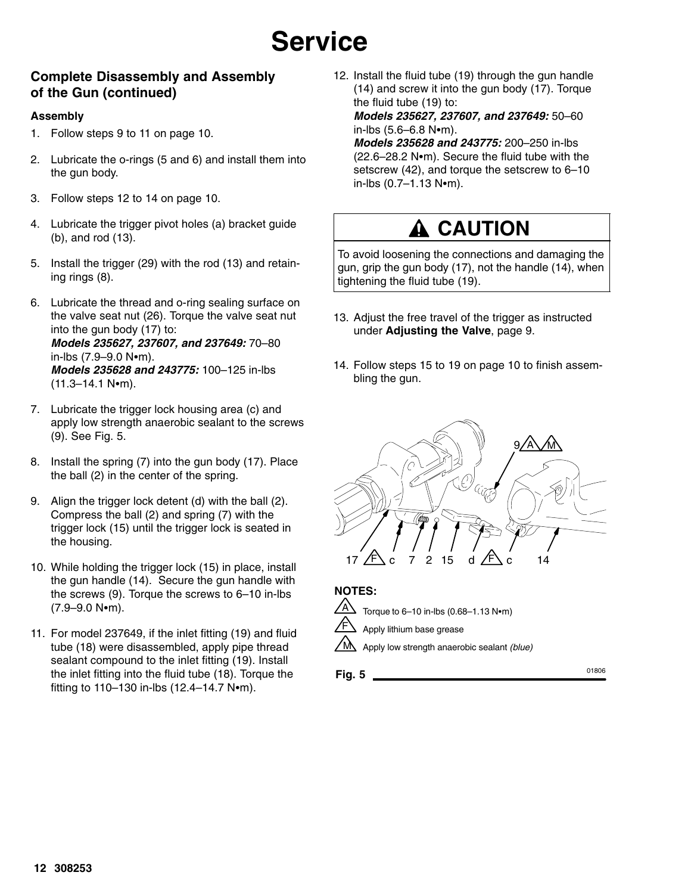#### **Complete Disassembly and Assembly of the Gun (continued)**

#### **Assembly**

- 1. Follow steps 9 to 11 on page 10.
- 2. Lubricate the o-rings (5 and 6) and install them into the gun body.
- 3. Follow steps 12 to 14 on page 10.
- 4. Lubricate the trigger pivot holes (a) bracket guide (b), and rod (13).
- 5. Install the trigger (29) with the rod (13) and retaining rings (8).
- 6. Lubricate the thread and o-ring sealing surface on the valve seat nut (26). Torque the valve seat nut into the gun body (17) to: *Models 235627, 237607, and 237649:* 70–80  $in$ -lbs (7.9–9.0 N $\bullet$ m). *Models 235628 and 243775:* 100–125 in-lbs  $(11.3 - 14.1 N·m)$ .
- 7. Lubricate the trigger lock housing area (c) and apply low strength anaerobic sealant to the screws (9). See Fig. 5.
- 8. Install the spring (7) into the gun body (17). Place the ball (2) in the center of the spring.
- 9. Align the trigger lock detent (d) with the ball (2). Compress the ball (2) and spring (7) with the trigger lock (15) until the trigger lock is seated in the housing.
- 10. While holding the trigger lock (15) in place, install the gun handle (14). Secure the gun handle with the screws (9). Torque the screws to 6–10 in-lbs  $(7.9 - 9.0 N \cdot m)$ .
- 11. For model 237649, if the inlet fitting (19) and fluid tube (18) were disassembled, apply pipe thread sealant compound to the inlet fitting (19). Install the inlet fitting into the fluid tube (18). Torque the fitting to  $110-130$  in-lbs  $(12.4-14.7 \text{ N} \cdot \text{m})$ .

12. Install the fluid tube (19) through the gun handle (14) and screw it into the gun body (17). Torque the fluid tube (19) to:

*Models 235627, 237607, and 237649:* 50–60  $in$ -lbs (5.6–6.8 N $em$ ).

*Models 235628 and 243775:* 200–250 in-lbs  $(22.6-28.2 \text{ N}\cdot\text{m})$ . Secure the fluid tube with the setscrew (42), and torque the setscrew to 6–10  $in$ -lbs  $(0.7-1.13 N·m)$ .

## **A CAUTION**

To avoid loosening the connections and damaging the gun, grip the gun body (17), not the handle (14), when tightening the fluid tube (19).

- 13. Adjust the free travel of the trigger as instructed under **Adjusting the Valve**, page 9.
- 14. Follow steps 15 to 19 on page 10 to finish assembling the gun.



**NOTES:**



Torque to  $6-10$  in-lbs  $(0.68-1.13 \text{ N} \cdot \text{m})$ Apply lithium base grease

Apply low strength anaerobic sealant *(blue)* M

**Fig. 5** 01806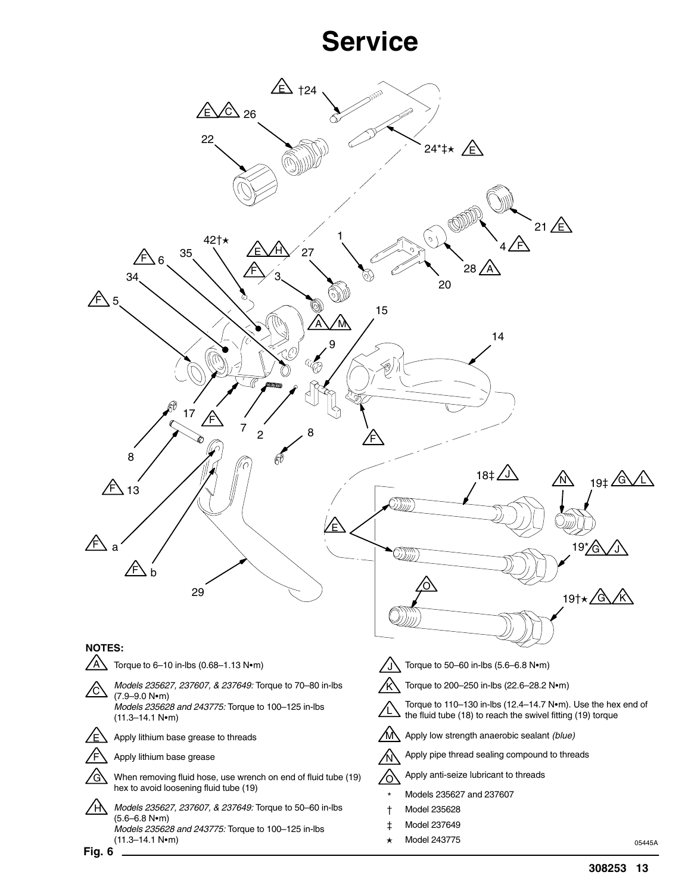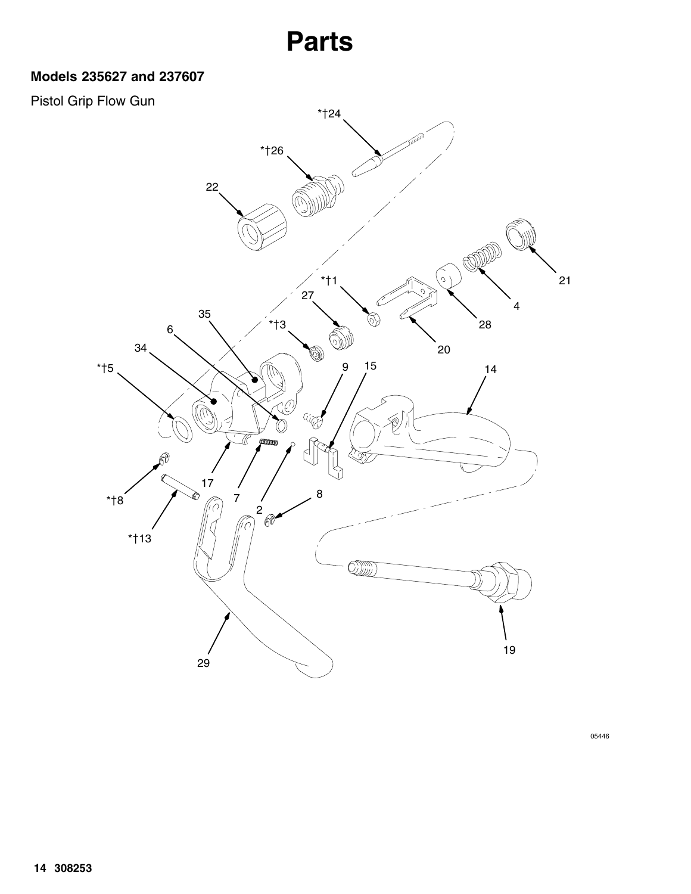### **Models 235627 and 237607**

### Pistol Grip Flow Gun

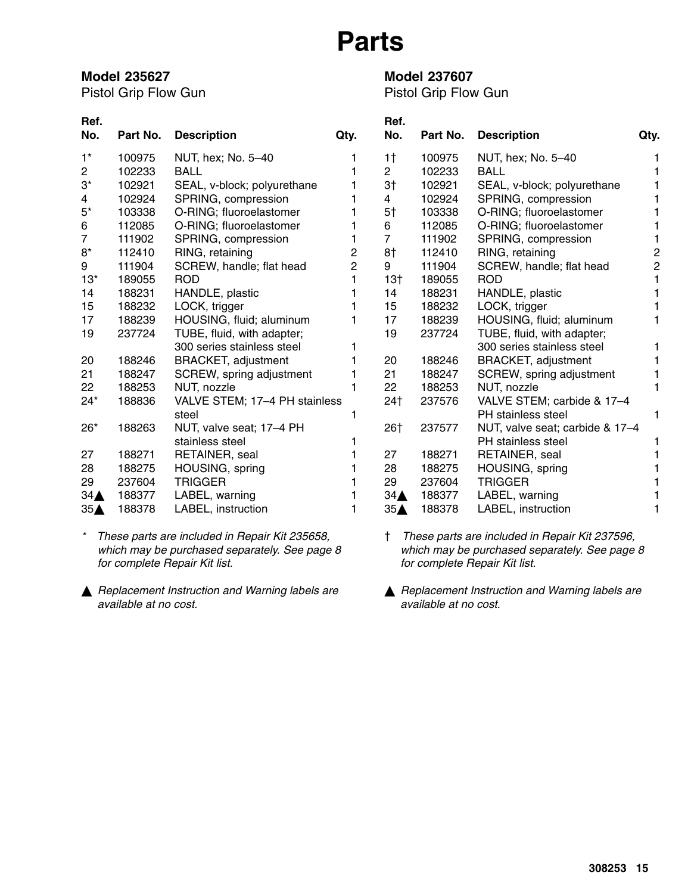#### **Model 235627**

Pistol Grip Flow Gun

#### **Model 237607**

Pistol Grip Flow Gun

| Ref.<br>No.     | Part No. | <b>Description</b>            | Qty. | Ref.<br>No.     | Part No. | <b>Description</b>              | Qty.           |
|-----------------|----------|-------------------------------|------|-----------------|----------|---------------------------------|----------------|
| $1^*$           | 100975   | NUT, hex; No. 5-40            |      | 1 <sup>†</sup>  | 100975   | NUT, hex; No. 5-40              |                |
| $\overline{2}$  | 102233   | <b>BALL</b>                   |      | $\overline{2}$  | 102233   | <b>BALL</b>                     |                |
| $3^*$           | 102921   | SEAL, v-block; polyurethane   |      | 3 <sup>†</sup>  | 102921   | SEAL, v-block; polyurethane     |                |
| 4               | 102924   | SPRING, compression           |      | 4               | 102924   | SPRING, compression             |                |
| $5^\star$       | 103338   | O-RING; fluoroelastomer       |      | 5 <sup>†</sup>  | 103338   | O-RING; fluoroelastomer         |                |
| 6               | 112085   | O-RING; fluoroelastomer       |      | 6               | 112085   | O-RING; fluoroelastomer         |                |
| $\overline{7}$  | 111902   | SPRING, compression           | 1    | $\overline{7}$  | 111902   | SPRING, compression             |                |
| $8^\star$       | 112410   | RING, retaining               | 2    | 8†              | 112410   | RING, retaining                 | 2              |
| 9               | 111904   | SCREW, handle; flat head      | 2    | 9               | 111904   | SCREW, handle; flat head        | $\overline{c}$ |
| $13*$           | 189055   | <b>ROD</b>                    |      | $13+$           | 189055   | <b>ROD</b>                      |                |
| 14              | 188231   | HANDLE, plastic               |      | 14              | 188231   | HANDLE, plastic                 |                |
| 15              | 188232   | LOCK, trigger                 |      | 15              | 188232   | LOCK, trigger                   |                |
| 17              | 188239   | HOUSING, fluid; aluminum      |      | 17              | 188239   | HOUSING, fluid; aluminum        |                |
| 19              | 237724   | TUBE, fluid, with adapter;    |      | 19              | 237724   | TUBE, fluid, with adapter;      |                |
|                 |          | 300 series stainless steel    |      |                 |          | 300 series stainless steel      |                |
| 20              | 188246   | <b>BRACKET, adjustment</b>    |      | 20              | 188246   | <b>BRACKET, adjustment</b>      |                |
| 21              | 188247   | SCREW, spring adjustment      |      | 21              | 188247   | SCREW, spring adjustment        |                |
| 22              | 188253   | NUT, nozzle                   |      | 22              | 188253   | NUT, nozzle                     |                |
| $24*$           | 188836   | VALVE STEM; 17-4 PH stainless |      | 24†             | 237576   | VALVE STEM; carbide & 17-4      |                |
|                 |          | steel                         |      |                 |          | PH stainless steel              | 1              |
| $26*$           | 188263   | NUT, valve seat; 17–4 PH      |      | 26†             | 237577   | NUT, valve seat; carbide & 17-4 |                |
|                 |          | stainless steel               |      |                 |          | <b>PH</b> stainless steel       |                |
| 27              | 188271   | RETAINER, seal                |      | 27              | 188271   | RETAINER, seal                  |                |
| 28              | 188275   | HOUSING, spring               |      | 28              | 188275   | HOUSING, spring                 |                |
| 29              | 237604   | <b>TRIGGER</b>                |      | 29              | 237604   | <b>TRIGGER</b>                  |                |
| $34\triangle$   | 188377   | LABEL, warning                |      | $34\triangle$   | 188377   | LABEL, warning                  |                |
| 35 <sub>A</sub> | 188378   | LABEL, instruction            |      | 35 <sub>A</sub> | 188378   | LABEL, instruction              |                |

*\* These parts are included in Repair Kit 235658, which may be purchased separately. See page 8 for complete Repair Kit list.*

- *Replacement Instruction and Warning labels are available at no cost.*
- *These parts are included in Repair Kit 237596, which may be purchased separately. See page 8 for complete Repair Kit list.*
- *Replacement Instruction and Warning labels are available at no cost.*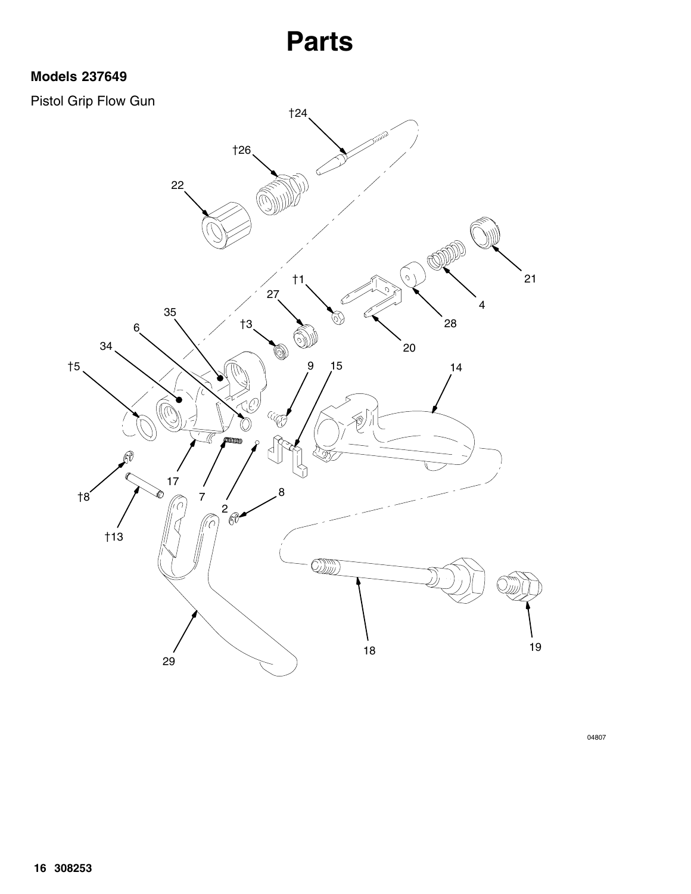### **Models 237649**

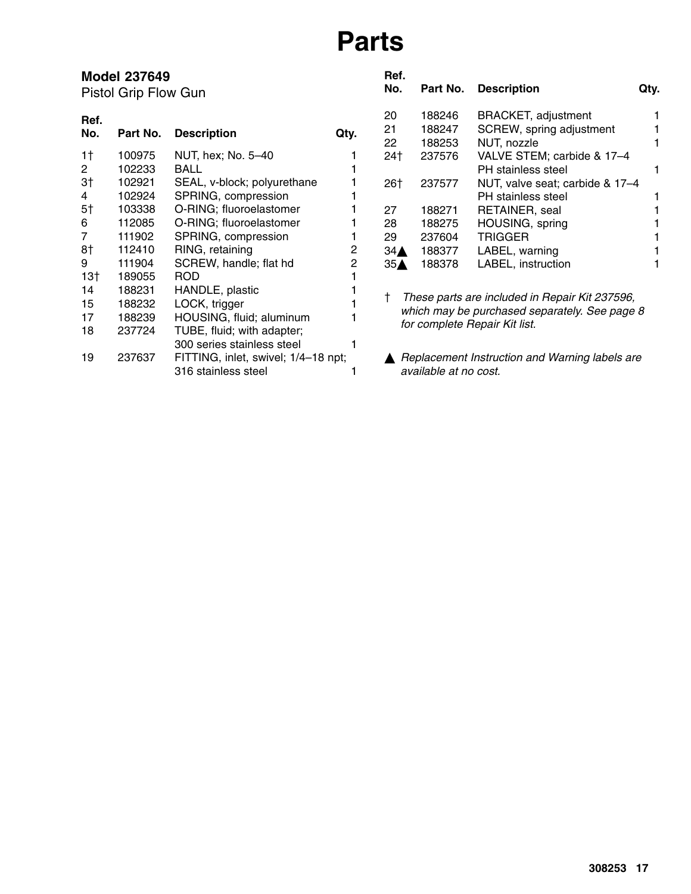|                                | <b>Model 237649</b><br>Pistol Grip Flow Gun |                                                                                                                          |        | Ref.<br>No.                      | Part No.                   | <b>Description</b>                                                                                                               | Qty. |
|--------------------------------|---------------------------------------------|--------------------------------------------------------------------------------------------------------------------------|--------|----------------------------------|----------------------------|----------------------------------------------------------------------------------------------------------------------------------|------|
| Ref.<br>No.                    | Part No.                                    | <b>Description</b>                                                                                                       | Qty.   | 20<br>21<br>22                   | 188246<br>188247<br>188253 | <b>BRACKET, adjustment</b><br>SCREW, spring adjustment<br>NUT, nozzle                                                            |      |
| 1 <sup>†</sup><br>$\mathbf{2}$ | 100975<br>102233                            | NUT, hex; No. 5-40<br><b>BALL</b>                                                                                        |        | 24†                              | 237576                     | VALVE STEM; carbide & 17-4<br>PH stainless steel                                                                                 |      |
| 3 <sup>†</sup><br>4<br>5†      | 102921<br>102924<br>103338                  | SEAL, v-block; polyurethane<br>SPRING, compression<br>O-RING; fluoroelastomer                                            |        | 26†<br>27                        | 237577<br>188271           | NUT, valve seat; carbide & 17-4<br>PH stainless steel<br>RETAINER, seal                                                          |      |
| 6<br>7                         | 112085<br>111902                            | O-RING; fluoroelastomer<br>SPRING, compression                                                                           |        | 28<br>29                         | 188275<br>237604           | HOUSING, spring<br><b>TRIGGER</b>                                                                                                |      |
| 8†<br>9<br>$13+$               | 112410<br>111904<br>189055                  | RING, retaining<br>SCREW, handle; flat hd<br><b>ROD</b>                                                                  | 2<br>2 | $34\triangle$<br>35 <sub>A</sub> | 188377<br>188378           | LABEL, warning<br>LABEL, instruction                                                                                             |      |
| 14<br>15<br>17<br>18           | 188231<br>188232<br>188239<br>237724        | HANDLE, plastic<br>LOCK, trigger<br>HOUSING, fluid; aluminum<br>TUBE, fluid; with adapter;<br>300 series stainless steel |        |                                  |                            | These parts are included in Repair Kit 237596,<br>which may be purchased separately. See page 8<br>for complete Repair Kit list. |      |
| 19                             | 237637                                      | FITTING, inlet, swivel; 1/4-18 npt;<br>316 stainless steel                                                               |        |                                  | available at no cost.      | Replacement Instruction and Warning labels are                                                                                   |      |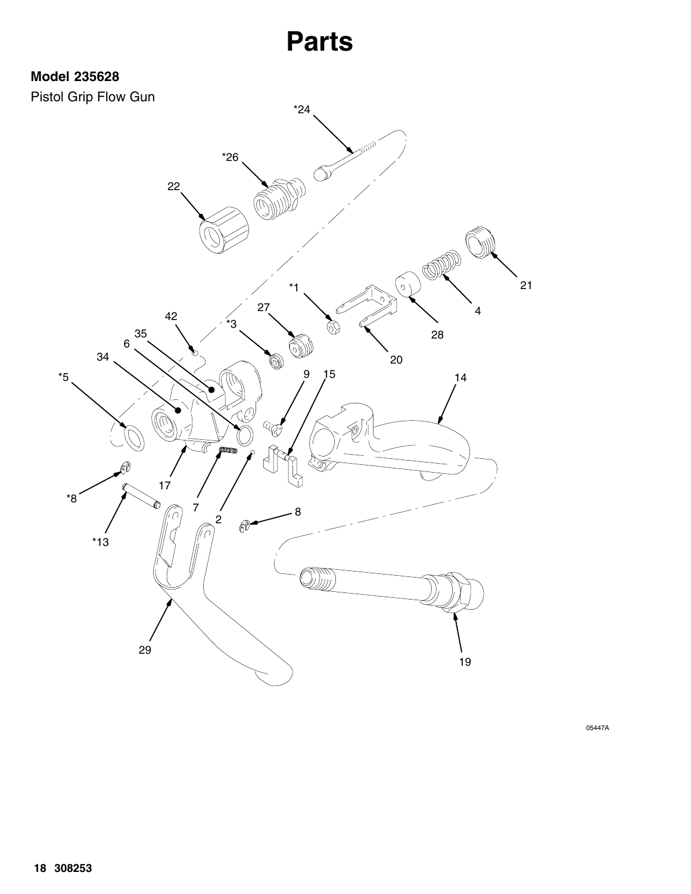### **Model 235628**



05447A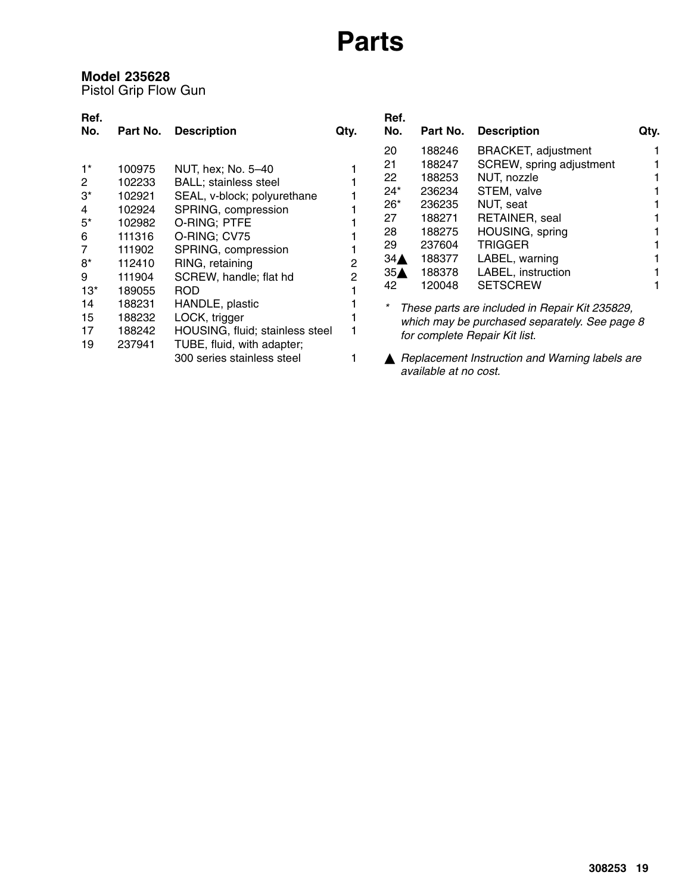### **Model 235628**

Pistol Grip Flow Gun

| Ref.         |          |                                 |      | Ref.            |                       |                                                |      |
|--------------|----------|---------------------------------|------|-----------------|-----------------------|------------------------------------------------|------|
| No.          | Part No. | <b>Description</b>              | Qty. | No.             | Part No.              | <b>Description</b>                             | Qty. |
|              |          |                                 |      | 20              | 188246                | <b>BRACKET, adjustment</b>                     |      |
| $1^*$        | 100975   | NUT, hex; No. 5-40              |      | 21              | 188247                | SCREW, spring adjustment                       |      |
| $\mathbf{2}$ | 102233   | <b>BALL</b> ; stainless steel   |      | 22              | 188253                | NUT, nozzle                                    |      |
| $3^*$        | 102921   | SEAL, v-block; polyurethane     |      | 24*             | 236234                | STEM, valve                                    |      |
| 4            | 102924   | SPRING, compression             |      | $26*$           | 236235                | NUT, seat                                      |      |
| $5^*$        | 102982   | O-RING; PTFE                    |      | 27              | 188271                | RETAINER, seal                                 |      |
| 6            | 111316   | O-RING; CV75                    |      | 28              | 188275                | HOUSING, spring                                |      |
| 7            | 111902   | SPRING, compression             |      | 29              | 237604                | <b>TRIGGER</b>                                 |      |
| 8*           | 112410   | RING, retaining                 | 2    | $34\triangle$   | 188377                | LABEL, warning                                 |      |
| 9            | 111904   | SCREW, handle; flat hd          | 2    | 35 <sub>A</sub> | 188378                | LABEL, instruction                             |      |
| $13*$        | 189055   | <b>ROD</b>                      |      | 42              | 120048                | <b>SETSCREW</b>                                |      |
| 14           | 188231   | HANDLE, plastic                 |      | *               |                       | These parts are included in Repair Kit 235829, |      |
| 15           | 188232   | LOCK, trigger                   |      |                 |                       | which may be purchased separately. See page 8  |      |
| 17           | 188242   | HOUSING, fluid; stainless steel |      |                 |                       | for complete Repair Kit list.                  |      |
| 19           | 237941   | TUBE, fluid, with adapter;      |      |                 |                       |                                                |      |
|              |          | 300 series stainless steel      |      |                 | available at no cost. | Replacement Instruction and Warning labels are |      |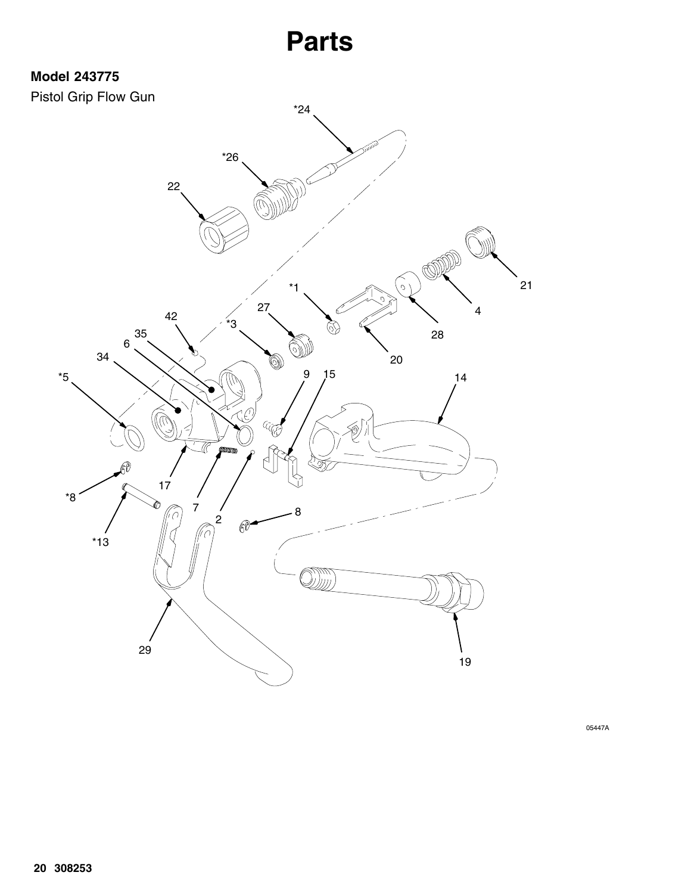### **Model 243775**



05447A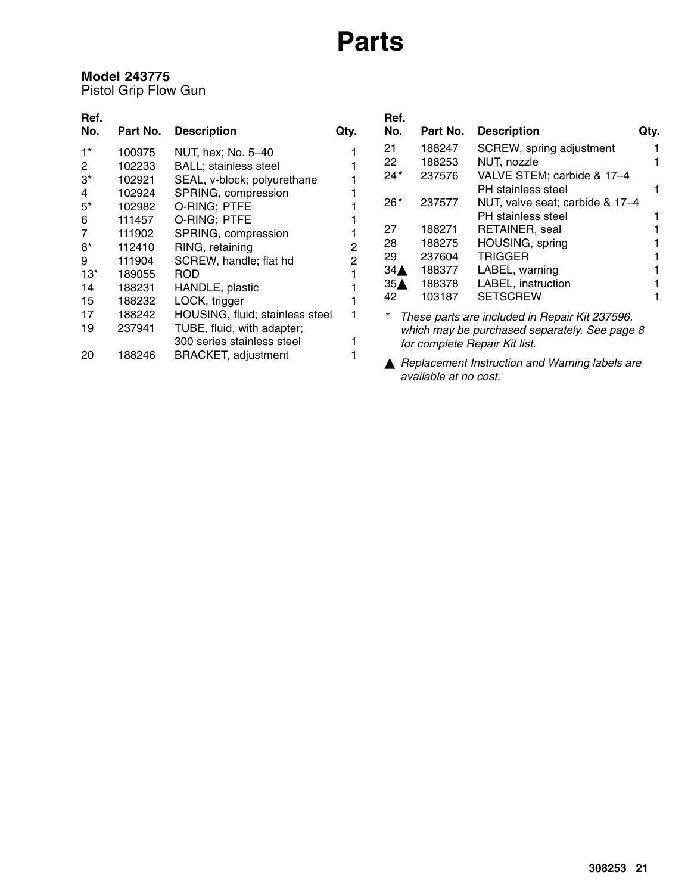### **Model 243775**

Pistol Grip Flow Gun

| Ref.           |          |                                 |      | Ref.                                          |          |                                                |      |
|----------------|----------|---------------------------------|------|-----------------------------------------------|----------|------------------------------------------------|------|
| No.            | Part No. | <b>Description</b>              | Qty. | No.                                           | Part No. | <b>Description</b>                             | Qty. |
| $1^*$          | 100975   | NUT, hex; No. 5-40              |      | 21                                            | 188247   | SCREW, spring adjustment                       |      |
| $\overline{2}$ | 102233   | <b>BALL</b> ; stainless steel   |      | 22                                            | 188253   | NUT, nozzle                                    |      |
| $3^*$          | 102921   | SEAL, v-block; polyurethane     |      | $24*$                                         | 237576   | VALVE STEM; carbide & 17-4                     |      |
| 4              | 102924   | SPRING, compression             |      |                                               |          | PH stainless steel                             |      |
| $5^*$          | 102982   | O-RING; PTFE                    |      | $26*$                                         | 237577   | NUT, valve seat; carbide & 17-4                |      |
| 6              | 111457   | O-RING; PTFE                    |      |                                               |          | PH stainless steel                             |      |
| 7              | 111902   | SPRING, compression             |      | 27                                            | 188271   | RETAINER, seal                                 |      |
| 8*             | 112410   | RING, retaining                 | 2    | 28                                            | 188275   | HOUSING, spring                                |      |
| 9              | 111904   | SCREW, handle; flat hd          | 2    | 29                                            | 237604   | <b>TRIGGER</b>                                 |      |
| $13*$          | 189055   | ROD                             |      | $34\triangle$                                 | 188377   | LABEL, warning                                 |      |
| 14             | 188231   | HANDLE, plastic                 |      | 35 <sub>A</sub>                               | 188378   | LABEL, instruction                             |      |
| 15             | 188232   | LOCK, trigger                   |      | 42                                            | 103187   | <b>SETSCREW</b>                                |      |
| 17             | 188242   | HOUSING, fluid; stainless steel |      |                                               |          | These parts are included in Repair Kit 237596, |      |
| 19             | 237941   | TUBE, fluid, with adapter;      |      | which may be purchased separately. See page 8 |          |                                                |      |
|                |          | 300 series stainless steel      |      |                                               |          | for complete Repair Kit list.                  |      |
| 20             | 188246   | <b>BRACKET, adjustment</b>      |      |                                               |          | Replacement Instruction and Warning labels are |      |

*available at no cost.*